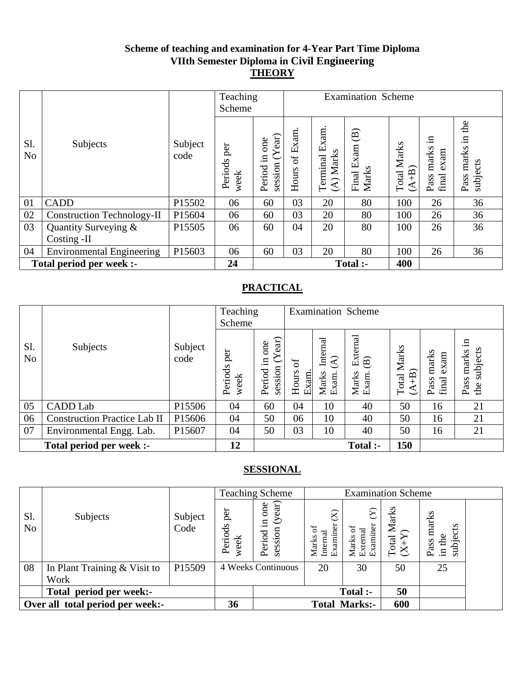## **Scheme of teaching and examination for 4-Year Part Time Diploma VIIth Semester Diploma in Civil Engineering THEORY**

|                       |                                   |                 | Teaching<br>Scheme  |                                                 | <b>Examination Scheme</b> |                                                   |                                                  |                                  |                                      |                                           |
|-----------------------|-----------------------------------|-----------------|---------------------|-------------------------------------------------|---------------------------|---------------------------------------------------|--------------------------------------------------|----------------------------------|--------------------------------------|-------------------------------------------|
| S1.<br>N <sub>o</sub> | Subjects                          | Subject<br>code | Periods per<br>week | $ext{e}$<br>one<br>$\Xi$ .<br>session<br>Period | Exam.<br>Ъ<br>Hours       | Ξ<br>×<br>凹<br>Marks<br>Terminal<br>$\widehat{A}$ | $\widehat{\mathbf{B}}$<br>Exam<br>Marks<br>Final | Marks<br>$\widehat{+B}$<br>Total | .드<br>marks<br>exam<br>Pass<br>final | the<br>$\Xi$<br>marks<br>subjects<br>Pass |
| 01                    | <b>CADD</b>                       | P15502          | 06                  | 60                                              | 03                        | 20                                                | 80                                               | 100                              | 26                                   | 36                                        |
| 02                    | <b>Construction Technology-II</b> | P15604          | 06                  | 60                                              | 03                        | 20                                                | 80                                               | 100                              | 26                                   | 36                                        |
| 03                    | Quantity Surveying &              | P15505          | 06                  | 60                                              | 04                        | 20                                                | 80                                               | 100                              | 26                                   | 36                                        |
|                       | Costing -II                       |                 |                     |                                                 |                           |                                                   |                                                  |                                  |                                      |                                           |
| 04                    | <b>Environmental Engineering</b>  | P15603          | 06                  | 60                                              | 03                        | 20                                                | 80                                               | 100                              | 26                                   | 36                                        |
|                       | Total period per week :-          |                 | 24                  |                                                 |                           |                                                   | Total :-                                         | 400                              |                                      |                                           |

## **PRACTICAL**

|                       |                                     |                 | Teaching<br>Scheme     |                                       |                                   |                                                       | <b>Examination Scheme</b>                            |                                 |                                |                                        |
|-----------------------|-------------------------------------|-----------------|------------------------|---------------------------------------|-----------------------------------|-------------------------------------------------------|------------------------------------------------------|---------------------------------|--------------------------------|----------------------------------------|
| S1.<br>N <sub>o</sub> | Subjects                            | Subject<br>code | per<br>Periods<br>week | ੰਸ਼<br>one<br>.크<br>session<br>Period | $\sigma$<br>Hours<br><b>Exam.</b> | Internal<br>$\widehat{\mathcal{E}}$<br>Marks<br>Exam. | External<br>$\widehat{\mathbf{B}}$<br>Marks<br>Exam. | Marks<br>$\widehat{+}$<br>Total | marks<br>exam<br>final<br>Pass | .日<br>subjects<br>marks<br>Pass<br>the |
| 05                    | <b>CADD</b> Lab                     | P15506          | 04                     | 60                                    | 04                                | 10                                                    | 40                                                   | 50                              | 16                             | 21                                     |
| 06                    | <b>Construction Practice Lab II</b> | P15606          | 04                     | 50                                    | 06                                | 10                                                    | 40                                                   | 50                              | 16                             | 21                                     |
| 07                    | Environmental Engg. Lab.            | P15607          | 04                     | 50                                    | 03                                | 10                                                    | 40                                                   | 50                              | 16                             | 21                                     |
|                       | Total period per week :-            |                 | 12                     |                                       |                                   |                                                       | Total :-                                             | 150                             |                                |                                        |

|                       |                                  |                 |                        | <b>Teaching Scheme</b>                                      |                               | <b>Examination Scheme</b>               |                        |                                         |  |
|-----------------------|----------------------------------|-----------------|------------------------|-------------------------------------------------------------|-------------------------------|-----------------------------------------|------------------------|-----------------------------------------|--|
| S1.<br>N <sub>o</sub> | Subjects                         | Subject<br>Code | per<br>Periods<br>week | one<br>ext<br>$\mathcal{S}$<br>$\Xi$ .<br>session<br>Period | Internal<br>Examiner<br>Marks | ନ<br>External<br>Examiner<br>ㅎ<br>Marks | Total Marks<br>$(X+Y)$ | marks<br>s<br>subject<br>in the<br>Pass |  |
| 08                    | In Plant Training $& Visit$ to   | P15509          |                        | 4 Weeks Continuous                                          | 20                            | 30                                      | 50                     | 25                                      |  |
|                       | Work                             |                 |                        |                                                             |                               |                                         |                        |                                         |  |
|                       | Total period per week:-          |                 |                        |                                                             |                               | Total :-                                | 50                     |                                         |  |
|                       | Over all total period per week:- |                 |                        |                                                             | <b>Total</b>                  | <b>Marks:-</b>                          | 600                    |                                         |  |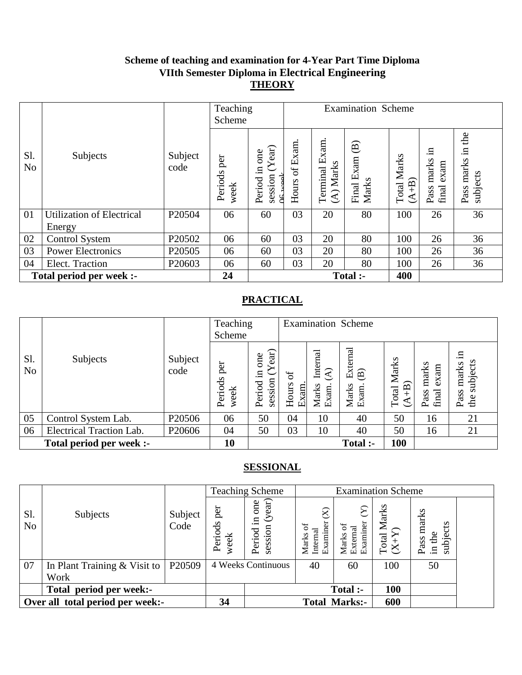#### **Scheme of teaching and examination for 4-Year Part Time Diploma VIIth Semester Diploma in Electrical Engineering THEORY**

|                       |                                            |                    | Teaching<br>Scheme     |                                                 | <b>Examination Scheme</b>        |                                                 |                                                  |                         |                                      |                                           |
|-----------------------|--------------------------------------------|--------------------|------------------------|-------------------------------------------------|----------------------------------|-------------------------------------------------|--------------------------------------------------|-------------------------|--------------------------------------|-------------------------------------------|
| Sl.<br>N <sub>o</sub> | Subjects                                   | Subject<br>code    | per<br>Periods<br>week | Year)<br>one<br>$\Xi$<br>session<br>Period<br>d | Exam.<br>$\mathfrak{b}$<br>Hours | xam.<br>凹<br>Marks<br>Terminal<br>$\widehat{A}$ | $\widehat{\mathbf{B}}$<br>Exam<br>Marks<br>Final | Marks<br>$A+B$<br>Total | .日<br>marks<br>exam<br>final<br>Pass | the<br>$\Xi$<br>marks<br>subjects<br>Pass |
| 01                    | <b>Utilization of Electrical</b><br>Energy | P20504             | 06                     | 60                                              | 03                               | 20                                              | 80                                               | 100                     | 26                                   | 36                                        |
| 02                    | <b>Control System</b>                      | P20502             | 06                     | 60                                              | 03                               | 20                                              | 80                                               | 100                     | 26                                   | 36                                        |
| 03                    | <b>Power Electronics</b>                   | P <sub>20505</sub> | 06                     | 60                                              | 03                               | 20                                              | 80                                               | 100                     | 26                                   | 36                                        |
| 04                    | Elect. Traction                            | P20603             | 06                     | 60                                              | 03                               | 20                                              | 80                                               | 100                     | 26                                   | 36                                        |
|                       | Total period per week :-                   |                    | 24                     |                                                 |                                  |                                                 | Total :-                                         | 400                     |                                      |                                           |

## **PRACTICAL**

|                       |                                 |                 | Teaching<br>Scheme     |                                           |                            |                                              | <b>Examination Scheme</b>                            |                           |                                |                                        |
|-----------------------|---------------------------------|-----------------|------------------------|-------------------------------------------|----------------------------|----------------------------------------------|------------------------------------------------------|---------------------------|--------------------------------|----------------------------------------|
| S1.<br>N <sub>o</sub> | Subjects                        | Subject<br>code | per<br>Periods<br>week | ear)<br>one<br>$\Xi$<br>session<br>Period | $\sigma$<br>Hours<br>Exam. | Internal<br>$\mathfrak{D}$<br>Marks<br>Exam. | External<br>$\widehat{\mathbf{B}}$<br>Marks<br>Exam. | Marks<br>$(A+B)$<br>Total | marks<br>exam<br>final<br>Pass | .日<br>subjects<br>marks<br>Pass<br>the |
| 05                    | Control System Lab.             | P20506          | 06                     | 50                                        | 04                         | 10                                           | 40                                                   | 50                        | 16                             | 21                                     |
| 06                    | <b>Electrical Traction Lab.</b> | P20606          | 04                     | 50                                        | 03                         | 10                                           | 40                                                   | 50                        | 16                             | 21                                     |
|                       | Total period per week :-        |                 | 10                     |                                           |                            |                                              | Total :-                                             | 100                       |                                |                                        |

|                       |                                  |                    |                        | <b>Teaching Scheme</b>                        |                                              | <b>Examination Scheme</b>                  |                                         |                                     |  |
|-----------------------|----------------------------------|--------------------|------------------------|-----------------------------------------------|----------------------------------------------|--------------------------------------------|-----------------------------------------|-------------------------------------|--|
| Sl.<br>N <sub>o</sub> | Subjects                         | Subject<br>Code    | per<br>Periods<br>week | (year)<br>one<br>$\Xi$ .<br>session<br>Period | $\boxtimes$<br>Examiner<br>Internal<br>Marks | ম<br>Examiner<br>능<br>Marks of<br>External | Marks<br>$\frac{\text{Total N}}{(X+Y)}$ | marks<br>subjects<br>in the<br>Pass |  |
| 07                    | In Plant Training & Visit to     | P <sub>20509</sub> |                        | 4 Weeks Continuous                            | 40                                           | 60                                         | 100                                     | 50                                  |  |
|                       | Work                             |                    |                        |                                               |                                              |                                            |                                         |                                     |  |
|                       | Total period per week:-          |                    |                        |                                               |                                              | <b>Total :-</b>                            | 100                                     |                                     |  |
|                       | Over all total period per week:- |                    |                        |                                               |                                              | <b>Total Marks:-</b>                       | 600                                     |                                     |  |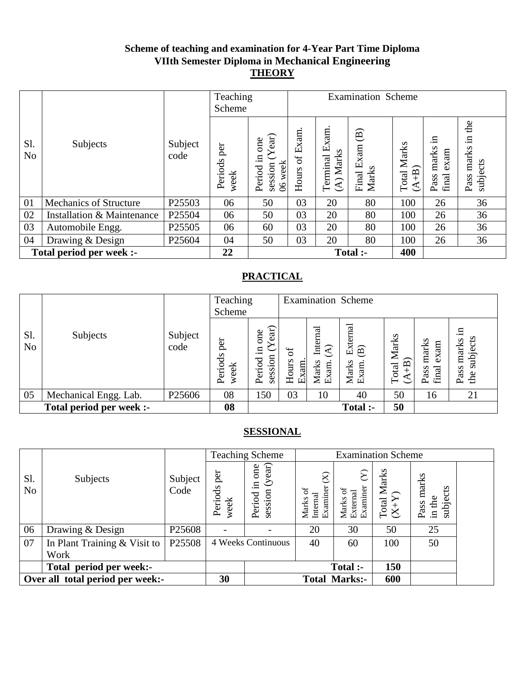### **Scheme of teaching and examination for 4-Year Part Time Diploma VIIth Semester Diploma in Mechanical Engineering THEORY**

|                       |                               |                 | Teaching<br>Scheme     |                                                            | <b>Examination Scheme</b> |                                                  |                                                  |                           |                                      |                                        |
|-----------------------|-------------------------------|-----------------|------------------------|------------------------------------------------------------|---------------------------|--------------------------------------------------|--------------------------------------------------|---------------------------|--------------------------------------|----------------------------------------|
| Sl.<br>N <sub>o</sub> | Subjects                      | Subject<br>code | per<br>Periods<br>week | ear)<br>one<br>.드<br>week<br>session<br>Period<br>$\infty$ | Exam.<br>ð<br>Hours       | xam.<br>ங்<br>Marks<br>Terminal<br>$\widehat{A}$ | $\widehat{\mathbf{B}}$<br>Exam<br>Marks<br>Final | Marks<br>$(A+B)$<br>Total | .日<br>marks<br>exam<br>final<br>Pass | the<br>묘.<br>marks<br>subjects<br>Pass |
| 01                    | <b>Mechanics of Structure</b> | P25503          | 06                     | 50                                                         | 03                        | 20                                               | 80                                               | 100                       | 26                                   | 36                                     |
| 02                    | Installation & Maintenance    | P25504          | 06                     | 50                                                         | 03                        | 20                                               | 80                                               | 100                       | 26                                   | 36                                     |
| 03                    | Automobile Engg.              | P25505          | 06                     | 60                                                         | 03                        | 20                                               | 80                                               | 100                       | 26                                   | 36                                     |
| 04                    | Drawing & Design              | P25604          | 04                     | 50                                                         | 03                        | 20                                               | 80                                               | 100                       | 26                                   | 36                                     |
|                       | Total period per week :-      |                 | 22                     |                                                            |                           |                                                  | Total :-                                         | 400                       |                                      |                                        |

# **PRACTICAL**

|                       |                          |                    | Teaching<br>Scheme     |                                        |                            |                                             | <b>Examination Scheme</b>         |                                                                                                                                                                                                                                                      |                                |                                        |
|-----------------------|--------------------------|--------------------|------------------------|----------------------------------------|----------------------------|---------------------------------------------|-----------------------------------|------------------------------------------------------------------------------------------------------------------------------------------------------------------------------------------------------------------------------------------------------|--------------------------------|----------------------------------------|
| S1.<br>N <sub>o</sub> | Subjects                 | Subject<br>code    | per<br>Periods<br>week | ear)<br>one<br>Ξ.<br>session<br>Period | ð<br>Hours<br><u>Exam.</u> | Internal<br>$\widehat{A}$<br>Marks<br>Exam. | External<br>(B)<br>Marks<br>Exam. | Marks<br>$\widehat{+}$ B)<br>Total<br>$\mathfrak{C}% _{A}^{\ast}(\mathbb{R})\subset\mathfrak{C}_{A}\!\left( A\right) ,\ \mathfrak{C}_{A}\!\left( A\right) _{A\right) ,\ \mathfrak{C}_{A}\!\left( C\right) \equiv\mathfrak{C}_{A}\!\left( A\right) ,$ | marks<br>exam<br>final<br>Pass | .日<br>subjects<br>marks<br>Pass<br>the |
| 05                    | Mechanical Engg. Lab.    | P <sub>25606</sub> | 08                     | 150                                    | 03                         | 10                                          | 40                                | 50                                                                                                                                                                                                                                                   | 16                             | 21                                     |
|                       | Total period per week :- |                    | 08                     |                                        |                            |                                             | Total :-                          | 50                                                                                                                                                                                                                                                   |                                |                                        |

|                       |                                  |                    |                        | <b>Teaching Scheme</b>                   |                                                          |                                         | <b>Examination Scheme</b>               |                                     |  |
|-----------------------|----------------------------------|--------------------|------------------------|------------------------------------------|----------------------------------------------------------|-----------------------------------------|-----------------------------------------|-------------------------------------|--|
| Sl.<br>N <sub>o</sub> | Subjects                         | Subject<br>Code    | per<br>Periods<br>week | (year)<br>one<br>묘.<br>session<br>Period | $\widehat{\Join}$<br>Examiner<br>ЪÇ<br>Internal<br>Marks | ম<br>Examiner<br>ō<br>External<br>Marks | Marks<br>$\frac{\text{Total N}}{(X+Y)}$ | marks<br>subjects<br>in the<br>Pass |  |
| 06                    | Drawing & Design                 | P <sub>25608</sub> |                        |                                          | 20                                                       | 30                                      | 50                                      | 25                                  |  |
| 07                    | In Plant Training & Visit to     | P25508             |                        | 4 Weeks Continuous                       | 40                                                       | 60                                      | 100                                     | 50                                  |  |
|                       | Work                             |                    |                        |                                          |                                                          |                                         |                                         |                                     |  |
|                       | Total period per week:-          |                    |                        |                                          |                                                          | Total :-                                | 150                                     |                                     |  |
|                       | Over all total period per week:- |                    | 30                     |                                          |                                                          | <b>Total Marks:-</b>                    | 600                                     |                                     |  |